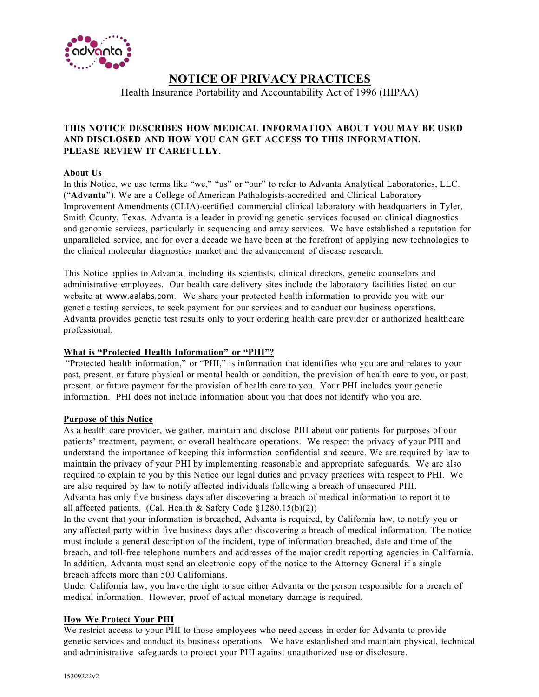

# **NOTICE OF PRIVACY PRACTICES**

Health Insurance Portability and Accountability Act of 1996 (HIPAA)

# **THIS NOTICE DESCRIBES HOW MEDICAL INFORMATION ABOUT YOU MAY BE USED AND DISCLOSED AND HOW YOU CAN GET ACCESS TO THIS INFORMATION. PLEASE REVIEW IT CAREFULLY**.

## **About Us**

In this Notice, we use terms like "we," "us" or "our" to refer to Advanta Analytical Laboratories, LLC. ("**Advanta**"). We are a College of American Pathologists-accredited and Clinical Laboratory Improvement Amendments (CLIA)-certified commercial clinical laboratory with headquarters in Tyler, Smith County, Texas. Advanta is a leader in providing genetic services focused on clinical diagnostics and genomic services, particularly in sequencing and array services. We have established a reputation for unparalleled service, and for over a decade we have been at the forefront of applying new technologies to the clinical molecular diagnostics market and the advancement of disease research.

This Notice applies to Advanta, including its scientists, clinical directors, genetic counselors and administrative employees. Our health care delivery sites include the laboratory facilities listed on our website at www.aalabs.com. We share your protected health information to provide you with our genetic testing services, to seek payment for our services and to conduct our business operations. Advanta provides genetic test results only to your ordering health care provider or authorized healthcare professional.

## **What is "Protected Health Information" or "PHI"?**

"Protected health information," or "PHI," is information that identifies who you are and relates to your past, present, or future physical or mental health or condition, the provision of health care to you, or past, present, or future payment for the provision of health care to you. Your PHI includes your genetic information. PHI does not include information about you that does not identify who you are.

# **Purpose of this Notice**

As a health care provider, we gather, maintain and disclose PHI about our patients for purposes of our patients' treatment, payment, or overall healthcare operations. We respect the privacy of your PHI and understand the importance of keeping this information confidential and secure. We are required by law to maintain the privacy of your PHI by implementing reasonable and appropriate safeguards. We are also required to explain to you by this Notice our legal duties and privacy practices with respect to PHI. We are also required by law to notify affected individuals following a breach of unsecured PHI. Advanta has only five business days after discovering a breach of medical information to report it to all affected patients. (Cal. Health & Safety Code §1280.15(b)(2))

In the event that your information is breached, Advanta is required, by California law, to notify you or any affected party within five business days after discovering a breach of medical information. The notice must include a general description of the incident, type of information breached, date and time of the breach, and toll-free telephone numbers and addresses of the major credit reporting agencies in California. In addition, Advanta must send an electronic copy of the notice to the Attorney General if a single breach affects more than 500 Californians.

Under California law, you have the right to sue either Advanta or the person responsible for a breach of medical information. However, proof of actual monetary damage is required.

# **How We Protect Your PHI**

We restrict access to your PHI to those employees who need access in order for Advanta to provide genetic services and conduct its business operations. We have established and maintain physical, technical and administrative safeguards to protect your PHI against unauthorized use or disclosure.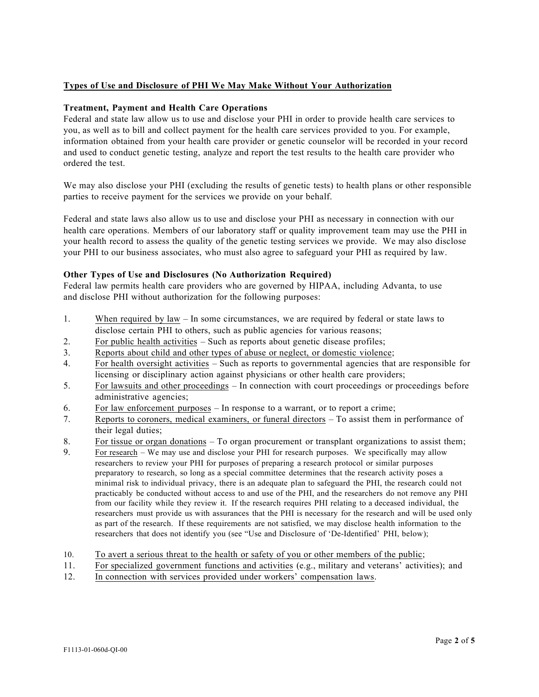# **Types of Use and Disclosure of PHI We May Make Without Your Authorization**

## **Treatment, Payment and Health Care Operations**

Federal and state law allow us to use and disclose your PHI in order to provide health care services to you, as well as to bill and collect payment for the health care services provided to you. For example, information obtained from your health care provider or genetic counselor will be recorded in your record and used to conduct genetic testing, analyze and report the test results to the health care provider who ordered the test.

We may also disclose your PHI (excluding the results of genetic tests) to health plans or other responsible parties to receive payment for the services we provide on your behalf.

Federal and state laws also allow us to use and disclose your PHI as necessary in connection with our health care operations. Members of our laboratory staff or quality improvement team may use the PHI in your health record to assess the quality of the genetic testing services we provide. We may also disclose your PHI to our business associates, who must also agree to safeguard your PHI as required by law.

## **Other Types of Use and Disclosures (No Authorization Required)**

Federal law permits health care providers who are governed by HIPAA, including Advanta, to use and disclose PHI without authorization for the following purposes:

- 1. When required by law In some circumstances, we are required by federal or state laws to disclose certain PHI to others, such as public agencies for various reasons;
- 2. For public health activities Such as reports about genetic disease profiles;
- 3. Reports about child and other types of abuse or neglect, or domestic violence;
- 4. For health oversight activities Such as reports to governmental agencies that are responsible for licensing or disciplinary action against physicians or other health care providers;
- 5. For lawsuits and other proceedings In connection with court proceedings or proceedings before administrative agencies;
- 6. For law enforcement purposes In response to a warrant, or to report a crime;
- 7. Reports to coroners, medical examiners, or funeral directors To assist them in performance of their legal duties;
- 8. For tissue or organ donations To organ procurement or transplant organizations to assist them;
- 9. For research We may use and disclose your PHI for research purposes. We specifically may allow researchers to review your PHI for purposes of preparing a research protocol or similar purposes preparatory to research, so long as a special committee determines that the research activity poses a minimal risk to individual privacy, there is an adequate plan to safeguard the PHI, the research could not practicably be conducted without access to and use of the PHI, and the researchers do not remove any PHI from our facility while they review it. If the research requires PHI relating to a deceased individual, the researchers must provide us with assurances that the PHI is necessary for the research and will be used only as part of the research. If these requirements are not satisfied, we may disclose health information to the researchers that does not identify you (see "Use and Disclosure of 'De-Identified' PHI, below);
- 10. To avert a serious threat to the health or safety of you or other members of the public;
- 11. For specialized government functions and activities (e.g., military and veterans' activities); and
- 12. In connection with services provided under workers' compensation laws.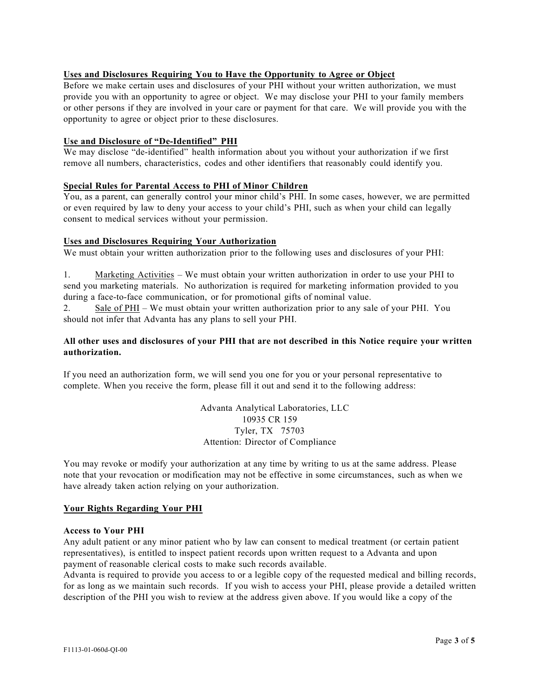## **Uses and Disclosures Requiring You to Have the Opportunity to Agree or Object**

Before we make certain uses and disclosures of your PHI without your written authorization, we must provide you with an opportunity to agree or object. We may disclose your PHI to your family members or other persons if they are involved in your care or payment for that care. We will provide you with the opportunity to agree or object prior to these disclosures.

## **Use and Disclosure of "De-Identified" PHI**

We may disclose "de-identified" health information about you without your authorization if we first remove all numbers, characteristics, codes and other identifiers that reasonably could identify you.

## **Special Rules for Parental Access to PHI of Minor Children**

You, as a parent, can generally control your minor child's PHI. In some cases, however, we are permitted or even required by law to deny your access to your child's PHI, such as when your child can legally consent to medical services without your permission.

## **Uses and Disclosures Requiring Your Authorization**

We must obtain your written authorization prior to the following uses and disclosures of your PHI:

1. Marketing Activities – We must obtain your written authorization in order to use your PHI to send you marketing materials. No authorization is required for marketing information provided to you during a face-to-face communication, or for promotional gifts of nominal value.

2. Sale of PHI – We must obtain your written authorization prior to any sale of your PHI. You should not infer that Advanta has any plans to sell your PHI.

## All other uses and disclosures of your PHI that are not described in this Notice require your written **authorization.**

If you need an authorization form, we will send you one for you or your personal representative to complete. When you receive the form, please fill it out and send it to the following address:

> Advanta Analytical Laboratories, LLC 10935 CR 159 Tyler, TX 75703 Attention: Director of Compliance

You may revoke or modify your authorization at any time by writing to us at the same address. Please note that your revocation or modification may not be effective in some circumstances, such as when we have already taken action relying on your authorization.

## **Your Rights Regarding Your PHI**

## **Access to Your PHI**

Any adult patient or any minor patient who by law can consent to medical treatment (or certain patient representatives), is entitled to inspect patient records upon written request to a Advanta and upon payment of reasonable clerical costs to make such records available.

Advanta is required to provide you access to or a legible copy of the requested medical and billing records, for as long as we maintain such records. If you wish to access your PHI, please provide a detailed written description of the PHI you wish to review at the address given above. If you would like a copy of the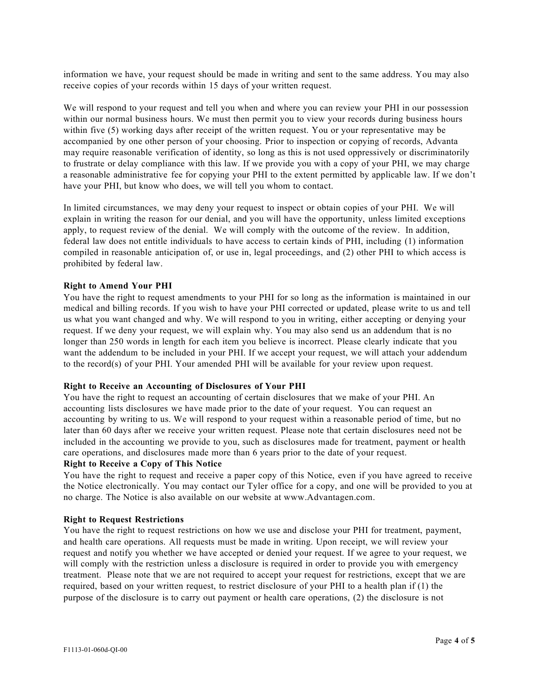information we have, your request should be made in writing and sent to the same address. You may also receive copies of your records within 15 days of your written request.

We will respond to your request and tell you when and where you can review your PHI in our possession within our normal business hours. We must then permit you to view your records during business hours within five (5) working days after receipt of the written request. You or your representative may be accompanied by one other person of your choosing. Prior to inspection or copying of records, Advanta may require reasonable verification of identity, so long as this is not used oppressively or discriminatorily to frustrate or delay compliance with this law. If we provide you with a copy of your PHI, we may charge a reasonable administrative fee for copying your PHI to the extent permitted by applicable law. If we don't have your PHI, but know who does, we will tell you whom to contact.

In limited circumstances, we may deny your request to inspect or obtain copies of your PHI. We will explain in writing the reason for our denial, and you will have the opportunity, unless limited exceptions apply, to request review of the denial. We will comply with the outcome of the review. In addition, federal law does not entitle individuals to have access to certain kinds of PHI, including (1) information compiled in reasonable anticipation of, or use in, legal proceedings, and (2) other PHI to which access is prohibited by federal law.

#### **Right to Amend Your PHI**

You have the right to request amendments to your PHI for so long as the information is maintained in our medical and billing records. If you wish to have your PHI corrected or updated, please write to us and tell us what you want changed and why. We will respond to you in writing, either accepting or denying your request. If we deny your request, we will explain why. You may also send us an addendum that is no longer than 250 words in length for each item you believe is incorrect. Please clearly indicate that you want the addendum to be included in your PHI. If we accept your request, we will attach your addendum to the record(s) of your PHI. Your amended PHI will be available for your review upon request.

#### **Right to Receive an Accounting of Disclosures of Your PHI**

You have the right to request an accounting of certain disclosures that we make of your PHI. An accounting lists disclosures we have made prior to the date of your request. You can request an accounting by writing to us. We will respond to your request within a reasonable period of time, but no later than 60 days after we receive your written request. Please note that certain disclosures need not be included in the accounting we provide to you, such as disclosures made for treatment, payment or health care operations, and disclosures made more than 6 years prior to the date of your request.

#### **Right to Receive a Copy of This Notice**

You have the right to request and receive a paper copy of this Notice, even if you have agreed to receive the Notice electronically. You may contact our Tyler office for a copy, and one will be provided to you at no charge. The Notice is also available on our website at www.Advantagen.com.

#### **Right to Request Restrictions**

You have the right to request restrictions on how we use and disclose your PHI for treatment, payment, and health care operations. All requests must be made in writing. Upon receipt, we will review your request and notify you whether we have accepted or denied your request. If we agree to your request, we will comply with the restriction unless a disclosure is required in order to provide you with emergency treatment. Please note that we are not required to accept your request for restrictions, except that we are required, based on your written request, to restrict disclosure of your PHI to a health plan if (1) the purpose of the disclosure is to carry out payment or health care operations, (2) the disclosure is not